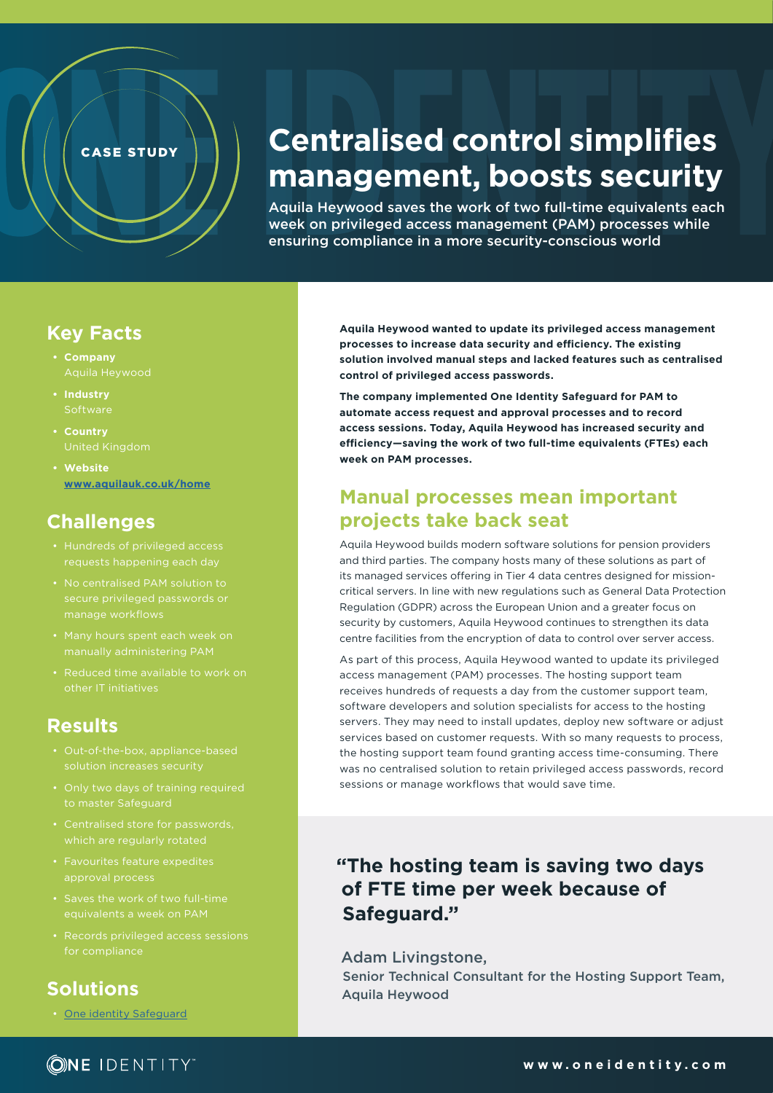# **Centralised control simplifies management, boosts security**

Aquila Heywood saves the work of two full-time equivalents each week on privileged access management (PAM) processes while ensuring compliance in a more security-conscious world

#### **Key Facts**

- **• Company**
- **• Industry Software**
- **• Country**
- **• Website [www.aquilauk.co.uk/home](http://www.aquilauk.co.uk/home)**

CASE STUDY

# **Challenges**

- Hundreds of privileged access
- 
- 
- 

### **Results**

- Out-of-the-box, appliance-based
- 
- 
- Favourites feature expedites approval process
- equivalents a week on PAM
- Records privileged access sessions

## **Solutions**

• One identity [Safeguard](https://www.oneidentity.com/one-identity-safeguard/)

**Aquila Heywood wanted to update its privileged access management processes to increase data security and efficiency. The existing solution involved manual steps and lacked features such as centralised control of privileged access passwords.**

**The company implemented One Identity Safeguard for PAM to automate access request and approval processes and to record access sessions. Today, Aquila Heywood has increased security and efficiency—saving the work of two full-time equivalents (FTEs) each week on PAM processes.**

## **Manual processes mean important projects take back seat**

Aquila Heywood builds modern software solutions for pension providers and third parties. The company hosts many of these solutions as part of its managed services offering in Tier 4 data centres designed for missioncritical servers. In line with new regulations such as General Data Protection Regulation (GDPR) across the European Union and a greater focus on security by customers, Aquila Heywood continues to strengthen its data centre facilities from the encryption of data to control over server access.

As part of this process, Aquila Heywood wanted to update its privileged access management (PAM) processes. The hosting support team receives hundreds of requests a day from the customer support team, software developers and solution specialists for access to the hosting servers. They may need to install updates, deploy new software or adjust services based on customer requests. With so many requests to process, the hosting support team found granting access time-consuming. There was no centralised solution to retain privileged access passwords, record sessions or manage workflows that would save time.

## **"The hosting team is saving two days of FTE time per week because of Safeguard."**

Adam Livingstone, Senior Technical Consultant for the Hosting Support Team, Aquila Heywood

### **ONE IDENTITY**